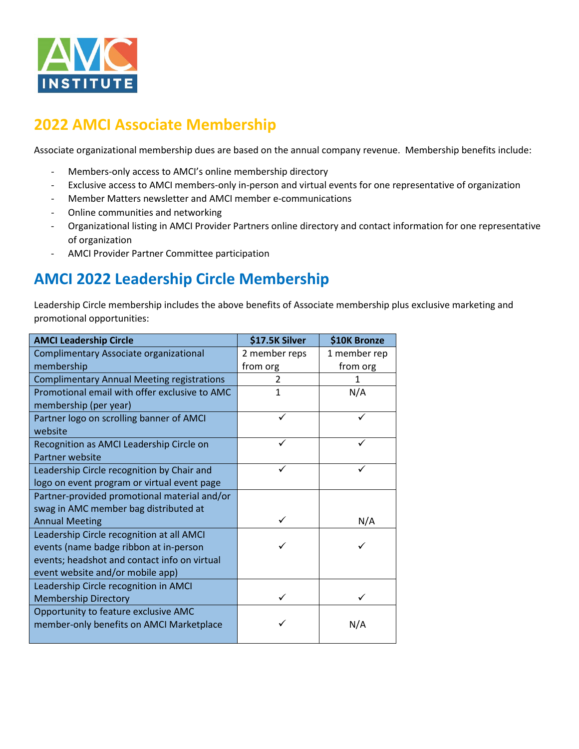

## **2022 AMCI Associate Membership**

Associate organizational membership dues are based on the annual company revenue. Membership benefits include:

- Members-only access to AMCI's online membership directory
- Exclusive access to AMCI members-only in-person and virtual events for one representative of organization
- Member Matters newsletter and AMCI member e-communications
- Online communities and networking
- Organizational listing in AMCI Provider Partners online directory and contact information for one representative of organization
- AMCI Provider Partner Committee participation

## **AMCI 2022 Leadership Circle Membership**

Leadership Circle membership includes the above benefits of Associate membership plus exclusive marketing and promotional opportunities:

| <b>AMCI Leadership Circle</b>                     | \$17.5K Silver | \$10K Bronze |
|---------------------------------------------------|----------------|--------------|
| Complimentary Associate organizational            | 2 member reps  | 1 member rep |
| membership                                        | from org       | from org     |
| <b>Complimentary Annual Meeting registrations</b> | 2              |              |
| Promotional email with offer exclusive to AMC     | $\mathbf{1}$   | N/A          |
| membership (per year)                             |                |              |
| Partner logo on scrolling banner of AMCI          |                |              |
| website                                           |                |              |
| Recognition as AMCI Leadership Circle on          | ✓              | ✓            |
| Partner website                                   |                |              |
| Leadership Circle recognition by Chair and        | ✓              | ✓            |
| logo on event program or virtual event page       |                |              |
| Partner-provided promotional material and/or      |                |              |
| swag in AMC member bag distributed at             |                |              |
| <b>Annual Meeting</b>                             |                | N/A          |
| Leadership Circle recognition at all AMCI         |                |              |
| events (name badge ribbon at in-person            |                |              |
| events; headshot and contact info on virtual      |                |              |
| event website and/or mobile app)                  |                |              |
| Leadership Circle recognition in AMCI             |                |              |
| <b>Membership Directory</b>                       |                |              |
| Opportunity to feature exclusive AMC              |                |              |
| member-only benefits on AMCI Marketplace          |                | N/A          |
|                                                   |                |              |